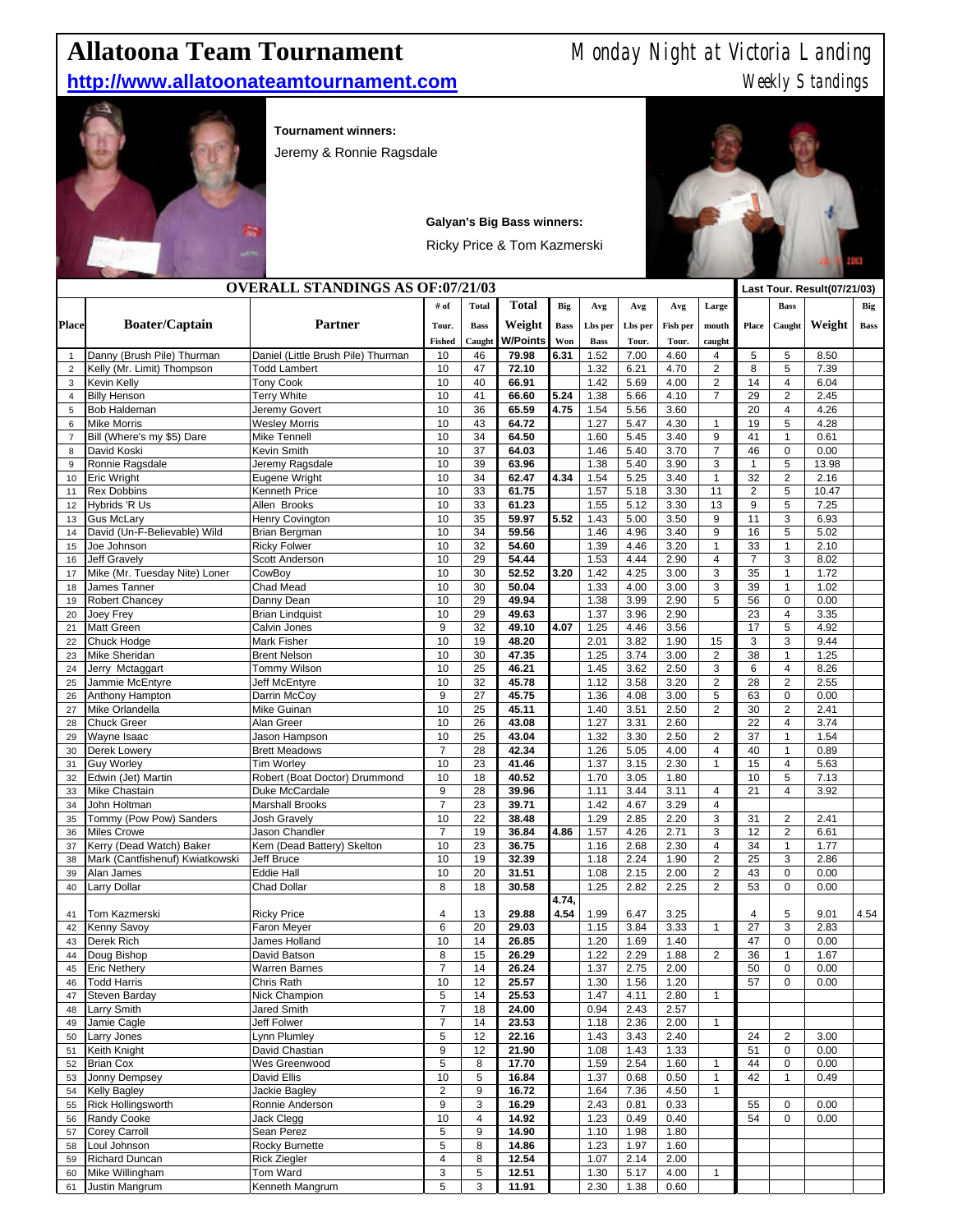## **Allatoona Team Tournament** Monday Night at Victoria Landing

## **http://www.allatoonateamtournament.com Weekly Standings** Weekly Standings



**Tournament winners:** 

Jeremy & Ronnie Ragsdale

| <b>OVERALL STANDINGS AS OF:07/21/03</b> |                                               |                                      |                         |                |                |              |              |              |              | Last Tour. Result(07/21/03)               |                |                                           |              |             |
|-----------------------------------------|-----------------------------------------------|--------------------------------------|-------------------------|----------------|----------------|--------------|--------------|--------------|--------------|-------------------------------------------|----------------|-------------------------------------------|--------------|-------------|
|                                         |                                               |                                      | # of                    | <b>Total</b>   | <b>Total</b>   | Big          | Avg          | Avg          | Avg          | Large                                     |                | <b>Bass</b>                               |              | Big         |
| <b>Place</b>                            | <b>Boater/Captain</b>                         | <b>Partner</b>                       | Tour.                   | <b>Bass</b>    | Weight         | <b>Bass</b>  | Lbs per      | Lbs per      | Fish per     | mouth                                     | <b>Place</b>   | Caught                                    | Weight       | <b>Bass</b> |
|                                         |                                               |                                      | <b>Fished</b>           | Caught         | W/Points       | Won          | <b>Bass</b>  | Tour.        | Tour.        | caught                                    |                |                                           |              |             |
| 1                                       | Danny (Brush Pile) Thurman                    | Daniel (Little Brush Pile) Thurman   | 10                      | 46             | 79.98          | 6.31         | 1.52         | 7.00         | 4.60         | 4                                         | 5              | 5                                         | 8.50         |             |
| $\overline{2}$                          | Kelly (Mr. Limit) Thompson                    | <b>Todd Lambert</b>                  | 10                      | 47             | 72.10          |              | 1.32         | 6.21         | 4.70         | $\overline{c}$                            | 8              | 5                                         | 7.39         |             |
| 3                                       | Kevin Kelly                                   | <b>Tony Cook</b>                     | 10<br>10                | 40<br>41       | 66.91          |              | 1.42         | 5.69         | 4.00         | $\overline{\mathbf{c}}$<br>$\overline{7}$ | 14<br>29       | $\overline{\mathbf{4}}$<br>$\overline{2}$ | 6.04<br>2.45 |             |
| $\overline{\mathbf{4}}$<br>5            | <b>Billy Henson</b><br>Bob Haldeman           | <b>Terry White</b><br>Jeremy Govert  | 10                      | 36             | 66.60<br>65.59 | 5.24<br>4.75 | 1.38<br>1.54 | 5.66<br>5.56 | 4.10<br>3.60 |                                           | 20             | $\overline{\mathbf{4}}$                   | 4.26         |             |
| 6                                       | <b>Mike Morris</b>                            | <b>Wesley Morris</b>                 | 10                      | 43             | 64.72          |              | 1.27         | 5.47         | 4.30         | $\mathbf{1}$                              | 19             | 5                                         | 4.28         |             |
| $\overline{7}$                          | Bill (Where's my \$5) Dare                    | <b>Mike Tennell</b>                  | 10                      | 34             | 64.50          |              | 1.60         | 5.45         | 3.40         | 9                                         | 41             | $\mathbf{1}$                              | 0.61         |             |
| 8                                       | David Koski                                   | Kevin Smith                          | 10                      | 37             | 64.03          |              | 1.46         | 5.40         | 3.70         | $\overline{7}$                            | 46             | $\mathbf 0$                               | 0.00         |             |
| 9                                       | Ronnie Ragsdale                               | Jeremy Ragsdale                      | 10                      | 39             | 63.96          |              | 1.38         | 5.40         | 3.90         | 3                                         | $\mathbf{1}$   | $\overline{5}$                            | 13.98        |             |
| 10                                      | <b>Eric Wright</b>                            | Eugene Wright                        | 10                      | 34             | 62.47          | 4.34         | 1.54         | 5.25         | 3.40         | $\mathbf{1}$                              | 32             | $\overline{2}$                            | 2.16         |             |
| 11                                      | <b>Rex Dobbins</b>                            | Kenneth Price                        | 10                      | 33             | 61.75          |              | 1.57         | 5.18         | 3.30         | 11                                        | $\overline{2}$ | 5                                         | 10.47        |             |
| 12                                      | Hybrids 'R Us                                 | Allen Brooks                         | 10                      | 33             | 61.23          |              | 1.55         | 5.12         | 3.30         | 13                                        | $9\,$          | 5                                         | 7.25         |             |
| 13                                      | <b>Gus McLary</b>                             | <b>Henry Covington</b>               | 10                      | 35             | 59.97          | 5.52         | 1.43         | 5.00         | 3.50         | 9                                         | 11             | 3                                         | 6.93         |             |
| 14<br>15                                | David (Un-F-Believable) Wild                  | Brian Bergman<br><b>Ricky Folwer</b> | 10<br>10                | 34<br>32       | 59.56<br>54.60 |              | 1.46<br>1.39 | 4.96<br>4.46 | 3.40<br>3.20 | 9<br>1                                    | 16<br>33       | 5<br>$\mathbf{1}$                         | 5.02<br>2.10 |             |
| 16                                      | Joe Johnson<br><b>Jeff Gravely</b>            | Scott Anderson                       | 10                      | 29             | 54.44          |              | 1.53         | 4.44         | 2.90         | 4                                         | $\overline{7}$ | 3                                         | 8.02         |             |
| 17                                      | Mike (Mr. Tuesday Nite) Loner                 | CowBoy                               | 10                      | 30             | 52.52          | 3.20         | 1.42         | 4.25         | 3.00         | 3                                         | 35             | $\mathbf{1}$                              | 1.72         |             |
| 18                                      | James Tanner                                  | Chad Mead                            | 10                      | 30             | 50.04          |              | 1.33         | 4.00         | 3.00         | 3                                         | 39             | $\mathbf{1}$                              | 1.02         |             |
| 19                                      | <b>Robert Chancey</b>                         | Danny Dean                           | 10                      | 29             | 49.94          |              | 1.38         | 3.99         | 2.90         | 5                                         | 56             | $\mathbf 0$                               | 0.00         |             |
| 20                                      | Joey Frey                                     | <b>Brian Lindquist</b>               | 10                      | 29             | 49.63          |              | 1.37         | 3.96         | 2.90         |                                           | 23             | $\overline{4}$                            | 3.35         |             |
| 21                                      | <b>Matt Green</b>                             | Calvin Jones                         | 9                       | 32             | 49.10          | 4.07         | 1.25         | 4.46         | 3.56         |                                           | 17             | 5                                         | 4.92         |             |
| 22                                      | Chuck Hodge                                   | <b>Mark Fisher</b>                   | 10                      | 19             | 48.20          |              | 2.01         | 3.82         | 1.90         | 15                                        | 3              | 3                                         | 9.44         |             |
| 23                                      | Mike Sheridan                                 | <b>Brent Nelson</b>                  | 10                      | 30             | 47.35          |              | 1.25         | 3.74         | 3.00         | $\mathbf{2}$                              | 38             | $\mathbf{1}$                              | 1.25         |             |
| 24                                      | Jerry Mctaggart                               | Tommy Wilson                         | 10                      | 25             | 46.21          |              | 1.45         | 3.62         | 2.50         | 3                                         | 6              | $\overline{\mathbf{4}}$                   | 8.26         |             |
| 25                                      | Jammie McEntyre                               | Jeff McEntyre                        | 10                      | 32             | 45.78          |              | 1.12         | 3.58         | 3.20         | $\mathbf{2}$                              | 28             | $\overline{2}$                            | 2.55         |             |
| 26                                      | Anthony Hampton                               | Darrin McCoy                         | 9                       | 27             | 45.75          |              | 1.36         | 4.08         | 3.00         | 5                                         | 63             | 0                                         | 0.00         |             |
| 27<br>28                                | Mike Orlandella<br><b>Chuck Greer</b>         | Mike Guinan<br>Alan Greer            | 10<br>10                | 25<br>26       | 45.11<br>43.08 |              | 1.40<br>1.27 | 3.51<br>3.31 | 2.50<br>2.60 | $\overline{2}$                            | 30<br>22       | $\overline{2}$<br>$\overline{4}$          | 2.41<br>3.74 |             |
| 29                                      | Wayne Isaac                                   | Jason Hampson                        | 10                      | 25             | 43.04          |              | 1.32         | 3.30         | 2.50         | $\overline{c}$                            | 37             | $\mathbf{1}$                              | 1.54         |             |
| 30                                      | Derek Lowery                                  | <b>Brett Meadows</b>                 | $\overline{7}$          | 28             | 42.34          |              | 1.26         | 5.05         | 4.00         | 4                                         | 40             | $\mathbf{1}$                              | 0.89         |             |
| 31                                      | <b>Guy Worley</b>                             | <b>Tim Worley</b>                    | 10                      | 23             | 41.46          |              | 1.37         | 3.15         | 2.30         | 1                                         | 15             | $\overline{\mathbf{4}}$                   | 5.63         |             |
| 32                                      | Edwin (Jet) Martin                            | Robert (Boat Doctor) Drummond        | 10                      | 18             | 40.52          |              | 1.70         | 3.05         | 1.80         |                                           | 10             | 5                                         | 7.13         |             |
| 33                                      | <b>Mike Chastain</b>                          | Duke McCardale                       | 9                       | 28             | 39.96          |              | 1.11         | 3.44         | 3.11         | 4                                         | 21             | $\overline{4}$                            | 3.92         |             |
| 34                                      | John Holtman                                  | <b>Marshall Brooks</b>               | $\overline{7}$          | 23             | 39.71          |              | 1.42         | 4.67         | 3.29         | 4                                         |                |                                           |              |             |
| 35                                      | Tommy (Pow Pow) Sanders                       | <b>Josh Gravely</b>                  | 10                      | 22             | 38.48          |              | 1.29         | 2.85         | 2.20         | 3                                         | 31             | $\overline{2}$                            | 2.41         |             |
| 36                                      | <b>Miles Crowe</b>                            | Jason Chandler                       | $\overline{7}$          | 19             | 36.84          | 4.86         | 1.57         | 4.26         | 2.71         | 3                                         | 12             | $\overline{2}$                            | 6.61         |             |
| 37                                      | Kerry (Dead Watch) Baker                      | Kem (Dead Battery) Skelton           | 10                      | 23             | 36.75          |              | 1.16         | 2.68         | 2.30         | 4                                         | 34             | 1                                         | 1.77         |             |
| 38<br>39                                | Mark (Cantfishenuf) Kwiatkowski<br>Alan James | Jeff Bruce<br><b>Eddie Hall</b>      | 10<br>10                | 19<br>20       | 32.39<br>31.51 |              | 1.18<br>1.08 | 2.24<br>2.15 | 1.90<br>2.00 | $\overline{2}$<br>$\overline{c}$          | 25<br>43       | 3<br>$\mathbf 0$                          | 2.86<br>0.00 |             |
| 40                                      | Larry Dollar                                  | Chad Dollar                          | 8                       | 18             | 30.58          |              | 1.25         | 2.82         | 2.25         | $\overline{c}$                            | 53             | $\pmb{0}$                                 | 0.00         |             |
|                                         |                                               |                                      |                         |                |                | 4.74,        |              |              |              |                                           |                |                                           |              |             |
| 41                                      | Tom Kazmerski                                 | <b>Ricky Price</b>                   | 4                       | 13             | 29.88          | 4.54         | 1.99         | 6.47         | 3.25         |                                           | 4              | 5                                         | 9.01         | 4.54        |
| 42                                      | Kenny Savoy                                   | Faron Meyer                          | 6                       | 20             | 29.03          |              | 1.15         | 3.84         | 3.33         | $\mathbf{1}$                              | 27             | 3                                         | 2.83         |             |
| 43                                      | Derek Rich                                    | <b>James Holland</b>                 | 10                      | 14             | 26.85          |              | 1.20         | 1.69         | 1.40         |                                           | 47             | $\mathbf 0$                               | 0.00         |             |
| 44                                      | Doug Bishop                                   | David Batson                         | 8                       | 15             | 26.29          |              | 1.22         | 2.29         | 1.88         | $\mathbf{2}$                              | 36             | $\mathbf{1}$                              | 1.67         |             |
| 45                                      | <b>Eric Nethery</b>                           | <b>Warren Barnes</b>                 | $\overline{7}$          | 14             | 26.24          |              | 1.37         | 2.75         | 2.00         |                                           | 50             | $\mathbf 0$                               | 0.00         |             |
| 46                                      | <b>Todd Harris</b>                            | Chris Rath                           | 10                      | 12             | 25.57          |              | 1.30         | 1.56         | 1.20         |                                           | 57             | $\mathbf 0$                               | 0.00         |             |
| 47                                      | Steven Barday                                 | Nick Champion                        | 5                       | 14             | 25.53          |              | 1.47         | 4.11         | 2.80         | 1                                         |                |                                           |              |             |
| 48                                      | Larry Smith                                   | Jared Smith                          | $\boldsymbol{7}$        | 18             | 24.00          |              | 0.94         | 2.43         | 2.57         |                                           |                |                                           |              |             |
| 49<br>50                                | Jamie Cagle<br>Larry Jones                    | Jeff Folwer<br>Lynn Plumley          | $\overline{7}$<br>5     | 14<br>12       | 23.53<br>22.16 |              | 1.18<br>1.43 | 2.36<br>3.43 | 2.00<br>2.40 | $\mathbf{1}$                              | 24             | $\overline{\mathbf{c}}$                   | 3.00         |             |
| 51                                      | Keith Knight                                  | David Chastian                       | 9                       | 12             | 21.90          |              | 1.08         | 1.43         | 1.33         |                                           | 51             | $\mathsf 0$                               | 0.00         |             |
| 52                                      | <b>Brian Cox</b>                              | Wes Greenwood                        | 5                       | 8              | 17.70          |              | 1.59         | 2.54         | 1.60         | $\mathbf{1}$                              | 44             | $\pmb{0}$                                 | 0.00         |             |
| 53                                      | Jonny Dempsey                                 | David Ellis                          | 10                      | 5              | 16.84          |              | 1.37         | 0.68         | 0.50         | $\mathbf{1}$                              | 42             | $\mathbf{1}$                              | 0.49         |             |
| 54                                      | <b>Kelly Bagley</b>                           | Jackie Bagley                        | $\overline{\mathbf{c}}$ | 9              | 16.72          |              | 1.64         | 7.36         | 4.50         | $\mathbf{1}$                              |                |                                           |              |             |
| 55                                      | <b>Rick Hollingsworth</b>                     | Ronnie Anderson                      | 9                       | 3              | 16.29          |              | 2.43         | 0.81         | 0.33         |                                           | 55             | $\mathbf 0$                               | 0.00         |             |
| 56                                      | Randy Cooke                                   | Jack Clegg                           | 10                      | $\overline{4}$ | 14.92          |              | 1.23         | 0.49         | 0.40         |                                           | 54             | $\mathbf 0$                               | 0.00         |             |
| 57                                      | Corey Carroll                                 | Sean Perez                           | 5                       | 9              | 14.90          |              | 1.10         | 1.98         | 1.80         |                                           |                |                                           |              |             |
| 58                                      | Loul Johnson                                  | Rocky Burnette                       | 5                       | 8              | 14.86          |              | 1.23         | 1.97         | 1.60         |                                           |                |                                           |              |             |
| 59                                      | Richard Duncan                                | <b>Rick Ziegler</b>                  | $\overline{\mathbf{4}}$ | 8              | 12.54          |              | 1.07         | 2.14         | 2.00         |                                           |                |                                           |              |             |
| 60                                      | Mike Willingham                               | Tom Ward                             | 3                       | 5              | 12.51          |              | 1.30         | 5.17         | 4.00         | 1                                         |                |                                           |              |             |
| 61                                      | Justin Mangrum                                | Kenneth Mangrum                      | 5                       | 3              | 11.91          |              | 2.30         | 1.38         | 0.60         |                                           |                |                                           |              |             |

**Galyan's Big Bass winners:** Ricky Price & Tom Kazmerski